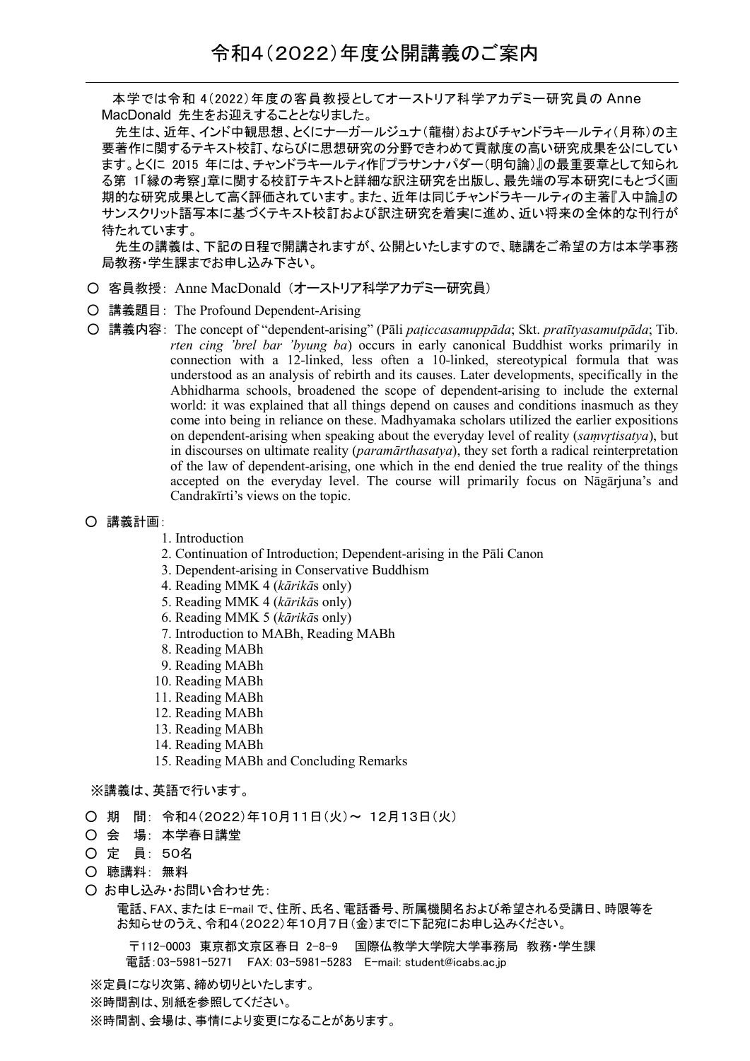本学では令和 4(2022)年度の客員教授としてオーストリア科学アカデミー研究員の Anne MacDonald 先生をお迎えすることとなりました。

先生は、近年、インド中観思想、とくにナーガールジュナ(龍樹)およびチャンドラキールティ(月称)の主 要著作に関するテキスト校訂、ならびに思想研究の分野できわめて貢献度の高い研究成果を公にしてい ます。とくに 2015 年には、チャンドラキールティ作『プラサンナパダー(明句論)』の最重要章として知られ る第 1「縁の考察」章に関する校訂テキストと詳細な訳注研究を出版し、最先端の写本研究にもとづく画 期的な研究成果として高く評価されています。また、近年は同じチャンドラキールティの主著『入中論』の サンスクリット語写本に基づくテキスト校訂および訳注研究を着実に進め、近い将来の全体的な刊行が 待たれています。

先生の講義は、下記の日程で開講されますが、公開といたしますので、聴講をご希望の方は本学事務 局教務・学生課までお申し込み下さい。

- 客員教授: Anne MacDonald (オーストリア科学アカデミー研究員)
- 講義題目: The Profound Dependent-Arising
- 講義内容: The concept of "dependent-arising" (Pāli *paṭiccasamuppāda*; Skt. *pratītyasamutpāda*; Tib. *rten cing 'brel bar 'byung ba*) occurs in early canonical Buddhist works primarily in connection with a 12-linked, less often a 10-linked, stereotypical formula that was understood as an analysis of rebirth and its causes. Later developments, specifically in the Abhidharma schools, broadened the scope of dependent-arising to include the external world: it was explained that all things depend on causes and conditions inasmuch as they come into being in reliance on these. Madhyamaka scholars utilized the earlier expositions on dependent-arising when speaking about the everyday level of reality (*samvrtisatya*), but in discourses on ultimate reality (*paramārthasatya*), they set forth a radical reinterpretation of the law of dependent-arising, one which in the end denied the true reality of the things accepted on the everyday level. The course will primarily focus on Nāgārjuna's and Candrakīrti's views on the topic.

## ○ 講義計画:

- 1. Introduction
- 2. Continuation of Introduction; Dependent-arising in the Pāli Canon
- 3. Dependent-arising in Conservative Buddhism
- 4. Reading MMK 4 (*kārikā*s only)
- 5. Reading MMK 4 (*kārikā*s only)
- 6. Reading MMK 5 (*kārikā*s only)
- 7. Introduction to MABh, Reading MABh
- 8. Reading MABh
- 9. Reading MABh
- 10. Reading MABh
- 11. Reading MABh
- 12. Reading MABh
- 13. Reading MABh
- 14. Reading MABh
- 15. Reading MABh and Concluding Remarks

## ※講義は、英語で行います。

- 期 間: 令和4(2022)年10月11日(火)~ 12月13日(火)
- 会 場: 本学春日講堂
- 定 員: 50名
- 聴講料: 無料
- お申し込み・お問い合わせ先:

電話、FAX、または E-mail で、住所、氏名、電話番号、所属機関名および希望される受講日、時限等を お知らせのうえ、令和4(2022)年10月7日(金)までに下記宛にお申し込みください。

〒112-0003 東京都文京区春日 2-8-9 国際仏教学大学院大学事務局 教務・学生課 電話:03-5981-5271 FAX: 03-5981-5283 E-mail: student@icabs.ac.jp

※定員になり次第、締め切りといたします。 ※時間割は、別紙を参照してください。

※時間割、会場は、事情により変更になることがあります。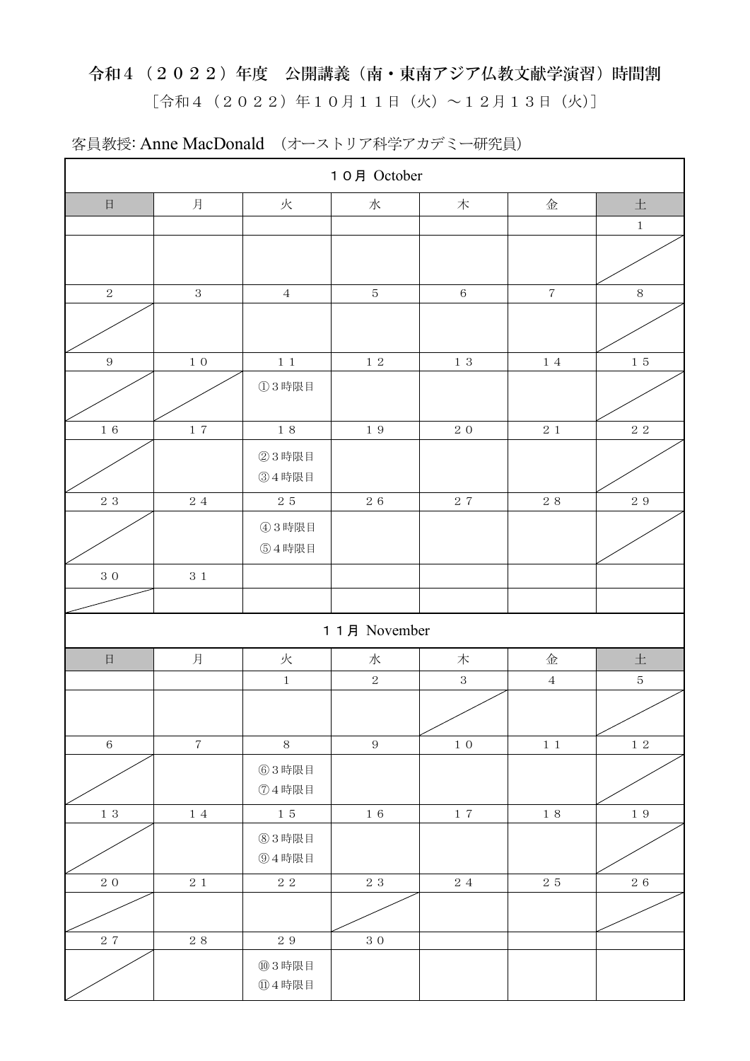## 令和4(2022)年度 公開講義(南・東南アジア仏教文献学演習)時間割  $[$ 令和4 (2022)年10月11日(火)~12月13日(火)]

| 10月 October    |                          |                |                  |                    |             |             |  |  |  |
|----------------|--------------------------|----------------|------------------|--------------------|-------------|-------------|--|--|--|
| $\boxminus$    | 月                        | 火              | 水                | $\boldsymbol{\pi}$ | 金           | $\pm$       |  |  |  |
|                |                          |                |                  |                    |             | $\,1$       |  |  |  |
|                |                          |                |                  |                    |             |             |  |  |  |
| $\sqrt{2}$     | $\,3$                    | $\sqrt{4}$     | $\mathbf 5$      | $\,6\,$            | $\sqrt{7}$  | $8\,$       |  |  |  |
|                |                          |                |                  |                    |             |             |  |  |  |
| $\,9$          | $1\,$ O                  | $1\,$ $1\,$    | $1\,$ $2\,$      | $1\,$ $3\,$        | $1\ 4$      | $1\,$ $5\,$ |  |  |  |
|                |                          | ①3時限目          |                  |                    |             |             |  |  |  |
| $1\,$ $6\,$    | $1\,$ $7\,$              | $1\,$ 8        | $1\,$ $9\,$      | $2\ 0$             | $2\,$ $1\,$ | $2\ 2$      |  |  |  |
|                |                          | ②3時限目<br>34時限目 |                  |                    |             |             |  |  |  |
| $2\,$ $3\,$    | $2\,\,4$                 | $2\,$ $5\,$    | $2\,$ $6\,$      | $2\,$ $7\,$        | $2\,$ $8\,$ | $2\,$ $9\,$ |  |  |  |
|                |                          | 43時限目<br>54時限目 |                  |                    |             |             |  |  |  |
| $3\ 0$         | $3\,$ $1\,$              |                |                  |                    |             |             |  |  |  |
|                |                          |                |                  |                    |             |             |  |  |  |
| 1 1 月 November |                          |                |                  |                    |             |             |  |  |  |
| $\boxminus$    | 月                        | 火              | 水                | 木                  | 金           | $\pm$       |  |  |  |
|                |                          | $\mathbf 1$    | $\,2$            | $\sqrt{3}$         | $\sqrt{4}$  | $\sqrt{5}$  |  |  |  |
|                |                          |                |                  |                    |             |             |  |  |  |
| $\,6\,$        | $\overline{\mathcal{L}}$ | $8\,$          | $\boldsymbol{9}$ | $1\,$ $0\,$        | $1\,$ $1\,$ | $1\,2$      |  |  |  |
|                |                          | 63時限目<br>74時限目 |                  |                    |             |             |  |  |  |
| $1\,$ $3\,$    | $1\ 4$                   | $1\,$ $5\,$    | $1\,$ $6\,$      | $1\,$ $7\,$        | $1\,$ 8     | $1\,$ $9\,$ |  |  |  |
|                |                          | 83時限目<br>⑨4時限目 |                  |                    |             |             |  |  |  |
| $2\ 0$         | $2\,$ $1\,$              | $2\ 2$         | $2\,$ $3\,$      | $2\ 4$             | $2\,$ $5\,$ | $2\,$ $6\,$ |  |  |  |
|                |                          |                |                  |                    |             |             |  |  |  |
| $2\,$ $7\,$    | $2\,$ $8\,$              | $2\,$ $9\,$    | $3\ 0$           |                    |             |             |  |  |  |
|                |                          | ⑩3時限目<br>14時限目 |                  |                    |             |             |  |  |  |